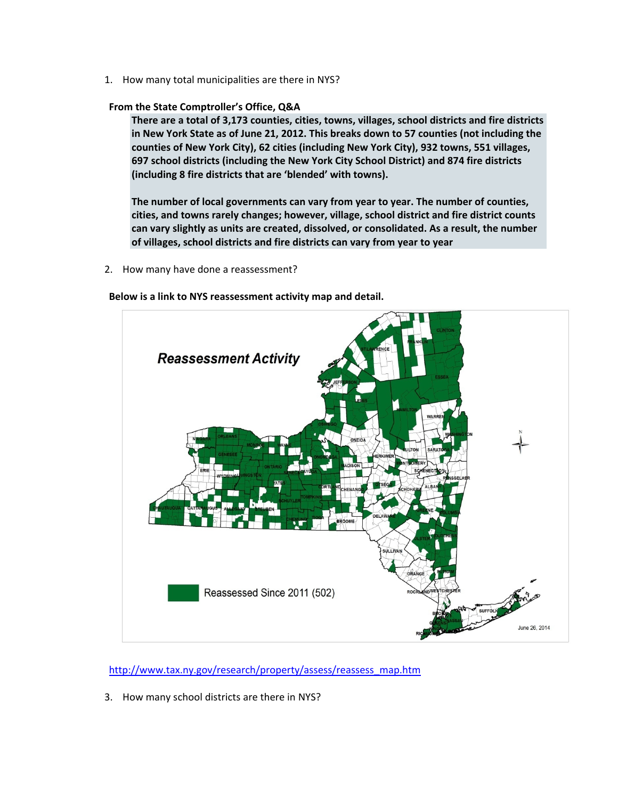1. How many total municipalities are there in NYS?

### **From the State Comptroller's Office, Q&A**

**There are a total of 3,173 counties, cities, towns, villages, school districts and fire districts in New York State as of June 21, 2012. This breaks down to 57 counties (not including the counties of New York City), 62 cities (including New York City), 932 towns, 551 villages, 697 school districts (including the New York City School District) and 874 fire districts (including 8 fire districts that are 'blended' with towns).**

**The number of local governments can vary from year to year. The number of counties, cities, and towns rarely changes; however, village, school district and fire district counts can vary slightly as units are created, dissolved, or consolidated. As a result, the number of villages, school districts and fire districts can vary from year to year** 

2. How many have done a reassessment?

**Below is a link to NYS reassessment activity map and detail.**



http://www.tax.ny.gov/research/property/assess/reassess\_map.htm

3. How many school districts are there in NYS?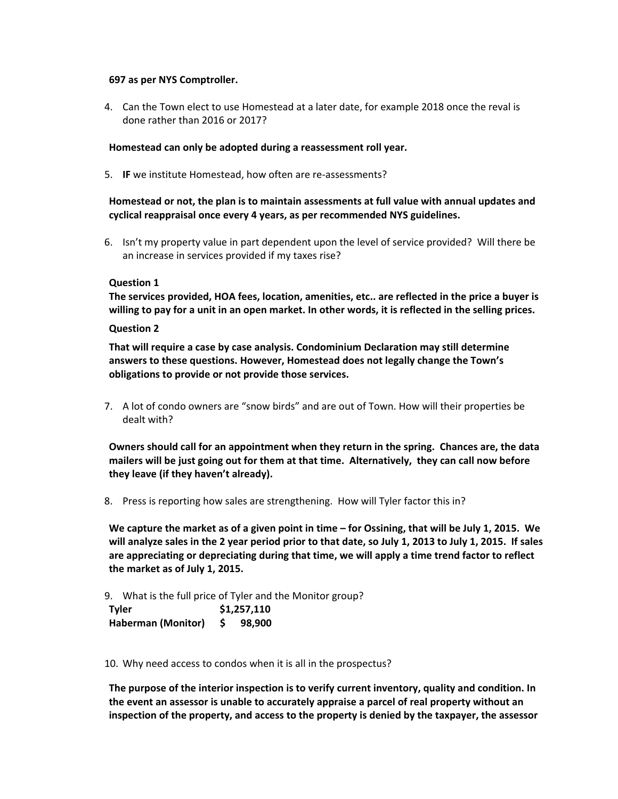#### **697 as per NYS Comptroller.**

4. Can the Town elect to use Homestead at a later date, for example 2018 once the reval is done rather than 2016 or 2017?

## **Homestead can only be adopted during a reassessment roll year.**

5. **IF** we institute Homestead, how often are re‐assessments?

# **Homestead or not, the plan is to maintain assessments at full value with annual updates and cyclical reappraisal once every 4 years, as per recommended NYS guidelines.**

6. Isn't my property value in part dependent upon the level of service provided? Will there be an increase in services provided if my taxes rise?

### **Question 1**

**The services provided, HOA fees, location, amenities, etc.. are reflected in the price a buyer is** willing to pay for a unit in an open market. In other words, it is reflected in the selling prices.

### **Question 2**

**That will require a case by case analysis. Condominium Declaration may still determine answers to these questions. However, Homestead does not legally change the Town's obligations to provide or not provide those services.**

7. A lot of condo owners are "snow birds" and are out of Town. How will their properties be dealt with?

**Owners should call for an appointment when they return in the spring. Chances are, the data** mailers will be just going out for them at that time. Alternatively, they can call now before **they leave (if they haven't already).**

8. Press is reporting how sales are strengthening. How will Tyler factor this in?

We capture the market as of a given point in time  $-$  for Ossining, that will be July 1, 2015. We will analyze sales in the 2 year period prior to that date, so July 1, 2013 to July 1, 2015. If sales **are appreciating or depreciating during that time, we will apply a time trend factor to reflect the market as of July 1, 2015.** 

9. What is the full price of Tyler and the Monitor group?

| <b>Tyler</b>              | \$1,257,110 |        |
|---------------------------|-------------|--------|
| <b>Haberman (Monitor)</b> | S.          | 98,900 |

10. Why need access to condos when it is all in the prospectus?

**The purpose of the interior inspection is to verify current inventory, quality and condition. In the event an assessor is unable to accurately appraise a parcel of real property without an inspection of the property, and access to the property is denied by the taxpayer, the assessor**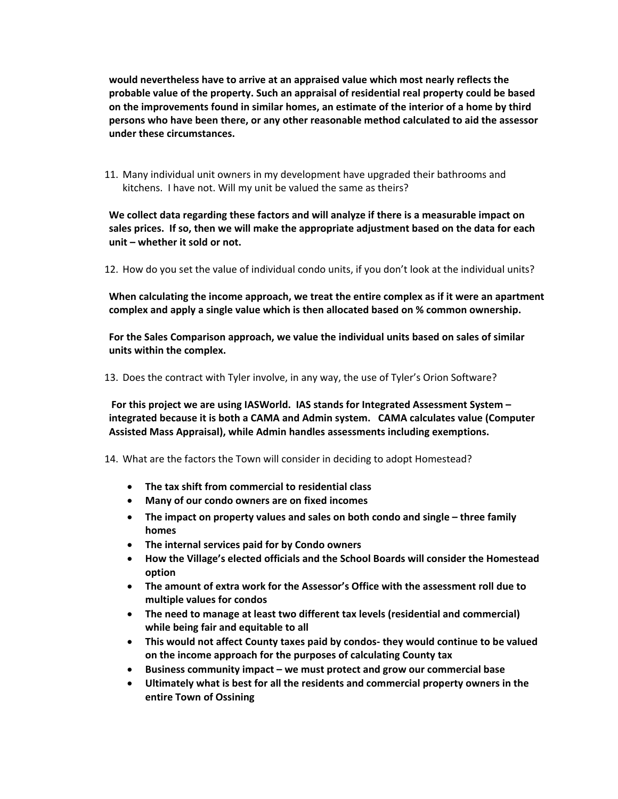**would nevertheless have to arrive at an appraised value which most nearly reflects the probable value of the property. Such an appraisal of residential real property could be based on the improvements found in similar homes, an estimate of the interior of a home by third persons who have been there, or any other reasonable method calculated to aid the assessor under these circumstances.**

11. Many individual unit owners in my development have upgraded their bathrooms and kitchens. I have not. Will my unit be valued the same as theirs?

**We collect data regarding these factors and will analyze if there is a measurable impact on sales prices. If so, then we will make the appropriate adjustment based on the data for each unit – whether it sold or not.**

12. How do you set the value of individual condo units, if you don't look at the individual units?

**When calculating the income approach, we treat the entire complex as if it were an apartment complex and apply a single value which is then allocated based on % common ownership.** 

**For the Sales Comparison approach, we value the individual units based on sales of similar units within the complex.**

13. Does the contract with Tyler involve, in any way, the use of Tyler's Orion Software?

**For this project we are using IASWorld. IAS stands for Integrated Assessment System – integrated because it is both a CAMA and Admin system. CAMA calculates value (Computer Assisted Mass Appraisal), while Admin handles assessments including exemptions.** 

14. What are the factors the Town will consider in deciding to adopt Homestead?

- **The tax shift from commercial to residential class**
- **Many of our condo owners are on fixed incomes**
- **The impact on property values and sales on both condo and single – three family homes**
- **The internal services paid for by Condo owners**
- **How the Village's elected officials and the School Boards will consider the Homestead option**
- **The amount of extra work for the Assessor's Office with the assessment roll due to multiple values for condos**
- **The need to manage at least two different tax levels (residential and commercial) while being fair and equitable to all**
- **This would not affect County taxes paid by condos‐ they would continue to be valued on the income approach for the purposes of calculating County tax**
- **Business community impact – we must protect and grow our commercial base**
- **Ultimately what is best for all the residents and commercial property owners in the entire Town of Ossining**